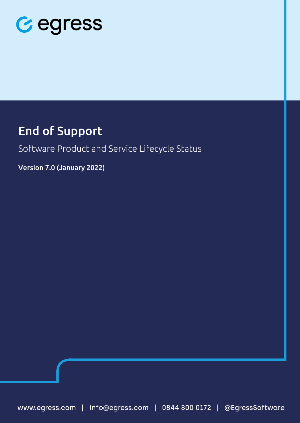

### End of Support

Software Product and Service Lifecycle Status

Version 7.0 (January 2022)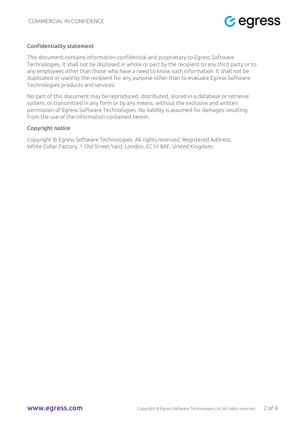

#### Confidentiality statement

This document contains information confidential and proprietary to Egress Software Technologies. It shall not be disclosed in whole or part by the recipient to any third party or to any employees other than those who have a need to know such information. It shall not be duplicated or used by the recipient for any purpose other than to evaluate Egress Software Technologies products and services.

No part of this document may be reproduced, distributed, stored in a database or retrieval system, or transmitted in any form or by any means, without the exclusive and written permission of Egress Software Technologies. No liability is assumed for damages resulting from the use of the information contained herein.

#### Copyright notice

Copyright © Egress Software Technologies. All rights reserved. Registered Address: White Collar Factory, 1 Old Street Yard, London, EC1Y 8AF, United Kingdom.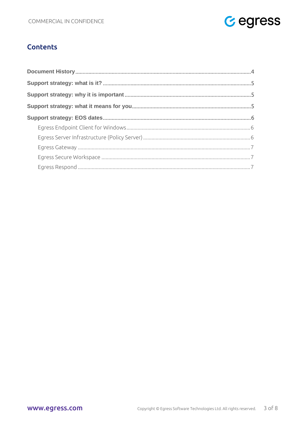

#### **Contents**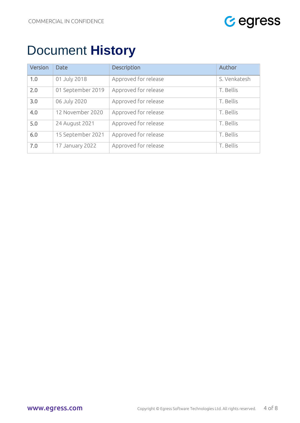

# <span id="page-3-0"></span>Document **History**

| Version | <b>Date</b>       | <b>Description</b>   | Author       |
|---------|-------------------|----------------------|--------------|
| 1.0     | 01 July 2018      | Approved for release | S. Venkatesh |
| 2.0     | 01 September 2019 | Approved for release | T. Bellis    |
| 3.0     | 06 July 2020      | Approved for release | T. Bellis    |
| 4.0     | 12 November 2020  | Approved for release | T. Bellis    |
| 5.0     | 24 August 2021    | Approved for release | T. Bellis    |
| 6.0     | 15 September 2021 | Approved for release | T. Bellis    |
| 7.0     | 17 January 2022   | Approved for release | T. Bellis    |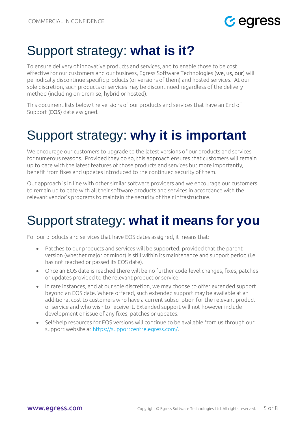## **G** egress

## <span id="page-4-0"></span>Support strategy: **what is it?**

To ensure delivery of innovative products and services, and to enable those to be cost effective for our customers and our business, Egress Software Technologies (we, us, our) will periodically discontinue specific products (or versions of them) and hosted services. At our sole discretion, such products or services may be discontinued regardless of the delivery method (including on-premise, hybrid or hosted).

This document lists below the versions of our products and services that have an End of Support (EOS) date assigned.

## <span id="page-4-1"></span>Support strategy: **why it is important**

We encourage our customers to upgrade to the latest versions of our products and services for numerous reasons. Provided they do so, this approach ensures that customers will remain up to date with the latest features of those products and services but more importantly, benefit from fixes and updates introduced to the continued security of them.

Our approach is in line with other similar software providers and we encourage our customers to remain up to date with all their software products and services in accordance with the relevant vendor's programs to maintain the security of their infrastructure.

# <span id="page-4-2"></span>Support strategy: **what it means for you**

For our products and services that have EOS dates assigned, it means that:

- Patches to our products and services will be supported, provided that the parent version (whether major or minor) is still within its maintenance and support period (i.e. has not reached or passed its EOS date).
- Once an EOS date is reached there will be no further code-level changes, fixes, patches or updates provided to the relevant product or service.
- In rare instances, and at our sole discretion, we may choose to offer extended support beyond an EOS date. Where offered, such extended support may be available at an additional cost to customers who have a current subscription for the relevant product or service and who wish to receive it. Extended support will not however include development or issue of any fixes, patches or updates.
- Self-help resources for EOS versions will continue to be available from us through our support website at [https://supportcentre.egress.com/.](https://supportcentre.egress.com/)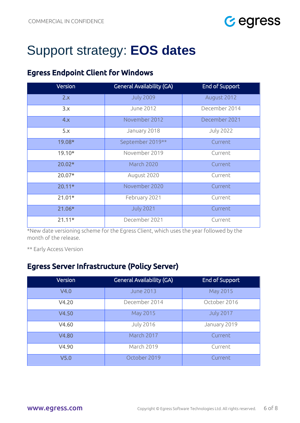

## <span id="page-5-0"></span>Support strategy: **EOS dates**

### <span id="page-5-1"></span>Egress Endpoint Client for Windows

| Version  | <b>General Availability (GA)</b> | <b>End of Support</b> |
|----------|----------------------------------|-----------------------|
| 2.x      | <b>July 2009</b>                 | August 2012           |
| 3.x      | June 2012                        | December 2014         |
| 4.x      | November 2012                    | December 2021         |
| 5.x      | January 2018                     | <b>July 2022</b>      |
| 19.08*   | September 2019**                 | Current               |
| $19.10*$ | November 2019                    | Current               |
| 20.02*   | March 2020                       | Current               |
| 20.07*   | August 2020                      | Current               |
| $20.11*$ | November 2020                    | Current               |
| $21.01*$ | February 2021                    | Current               |
| $21.06*$ | <b>July 2021</b>                 | Current               |
| $21.11*$ | December 2021                    | Current               |

\*New date versioning scheme for the Egress Client, which uses the year followed by the month of the release.

\*\* Early Access Version

#### <span id="page-5-2"></span>Egress Server Infrastructure (Policy Server)

| Version          | <b>General Availability (GA)</b> | <b>End of Support</b> |
|------------------|----------------------------------|-----------------------|
| V4.0             | <b>June 2013</b>                 | May 2015              |
| V4.20            | December 2014                    | October 2016          |
| V4.50            | May 2015                         | <b>July 2017</b>      |
| V4.60            | <b>July 2016</b>                 | January 2019          |
| V4.80            | March 2017                       | Current               |
| V4.90            | March 2019                       | Current               |
| V <sub>5.0</sub> | October 2019                     | Current               |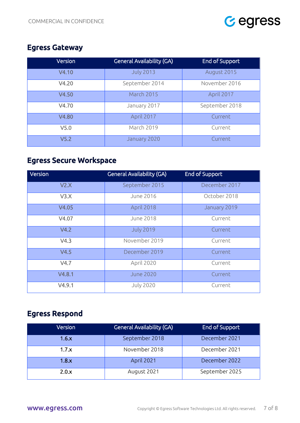

#### <span id="page-6-0"></span>Egress Gateway

| Version          | <b>General Availability (GA)</b> | <b>End of Support</b> |
|------------------|----------------------------------|-----------------------|
| V4.10            | <b>July 2013</b>                 | August 2015           |
| V4.20            | September 2014                   | November 2016         |
| V4.50            | <b>March 2015</b>                | April 2017            |
| V4.70            | January 2017                     | September 2018        |
| V4.80            | April 2017                       | Current               |
| V <sub>5.0</sub> | March 2019                       | Current               |
| V <sub>5.2</sub> | January 2020                     | Current               |

### <span id="page-6-1"></span>Egress Secure Workspace

| Version | <b>General Availability (GA)</b> | <b>End of Support</b> |
|---------|----------------------------------|-----------------------|
| V2.X    | September 2015                   | December 2017         |
| V3.X    | June 2016                        | October 2018          |
| V4.05   | April 2018                       | January 2019          |
| V4.07   | <b>June 2018</b>                 | Current               |
| V4.2    | <b>July 2019</b>                 | Current               |
| V4.3    | November 2019                    | Current               |
| V4.5    | December 2019                    | Current               |
| V4.7    | April 2020                       | Current               |
| V4.8.1  | <b>June 2020</b>                 | Current               |
| V4.9.1  | <b>July 2020</b>                 | Current               |

### <span id="page-6-2"></span>Egress Respond

| Version | <b>General Availability (GA)</b> | End of Support |
|---------|----------------------------------|----------------|
| 1.6.x   | September 2018                   | December 2021  |
| 1.7.x   | November 2018                    | December 2021  |
| 1.8.x   | April 2021                       | December 2022  |
| 2.0.x   | August 2021                      | September 2025 |